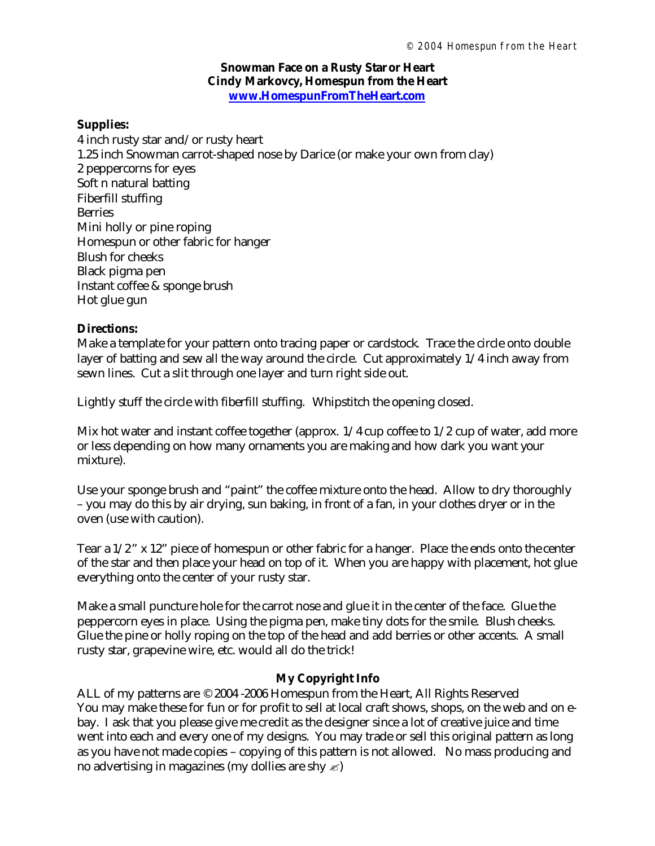#### **Snowman Face on a Rusty Star or Heart Cindy Markovcy, Homespun from the Heart www.HomespunFromTheHeart.com**

#### **Supplies:**

4 inch rusty star and/or rusty heart 1.25 inch Snowman carrot-shaped nose by Darice (or make your own from clay) 2 peppercorns for eyes Soft n natural batting Fiberfill stuffing Berries Mini holly or pine roping Homespun or other fabric for hanger Blush for cheeks Black pigma pen Instant coffee & sponge brush Hot glue gun

## **Directions:**

Make a template for your pattern onto tracing paper or cardstock. Trace the circle onto double layer of batting and sew all the way around the circle. Cut approximately 1/4 inch away from sewn lines. Cut a slit through one layer and turn right side out.

Lightly stuff the circle with fiberfill stuffing. Whipstitch the opening closed.

Mix hot water and instant coffee together (approx.  $1/4$  cup coffee to  $1/2$  cup of water, add more or less depending on how many ornaments you are making and how dark you want your mixture).

Use your sponge brush and "paint" the coffee mixture onto the head. Allow to dry thoroughly – you may do this by air drying, sun baking, in front of a fan, in your clothes dryer or in the oven (use with caution).

Tear a 1/2" x 12" piece of homespun or other fabric for a hanger. Place the ends onto the center of the star and then place your head on top of it. When you are happy with placement, hot glue everything onto the center of your rusty star.

Make a small puncture hole for the carrot nose and glue it in the center of the face. Glue the peppercorn eyes in place. Using the pigma pen, make tiny dots for the smile. Blush cheeks. Glue the pine or holly roping on the top of the head and add berries or other accents. A small rusty star, grapevine wire, etc. would all do the trick!

## **My Copyright Info**

ALL of my patterns are © 2004 -2006 Homespun from the Heart, All Rights Reserved You may make these for fun or for profit to sell at local craft shows, shops, on the web and on ebay. I ask that you please give me credit as the designer since a lot of creative juice and time went into each and every one of my designs. You may trade or sell this original pattern as long as you have not made copies – copying of this pattern is not allowed. No mass producing and no advertising in magazines (my dollies are shy  $\ll$ )